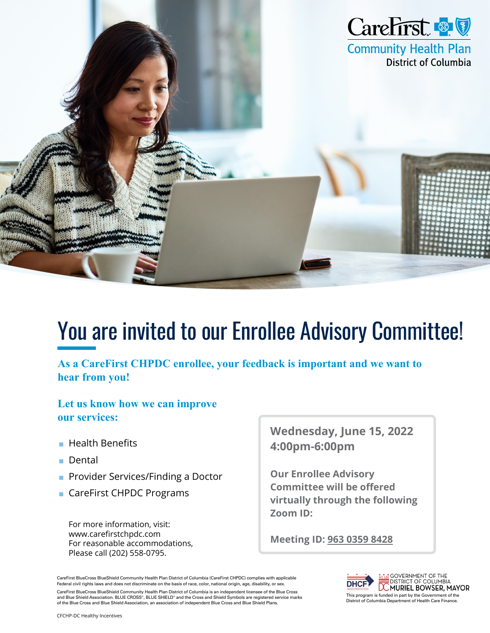

# You are invited to our Enrollee Advisory Committee!

**As a CareFirst CHPDC enrollee, your feedback is important and we want to hear from you!**

**Let us know how we can improve our services:**

- Health Benefits
- Dental
- Provider Services/Finding a Doctor
- CareFirst CHPDC Programs

For more information, visit: www.carefirstchpdc.com For reasonable accommodations, Please call (202) 558-0795.

**Wednesday, June 15, 2022 4:00pm-6:00pm**

**Our Enrollee Advisory Committee will be offered virtually through the following Zoom ID:**

**Meeting ID: 963 0359 8428**

CareFirst BlueCross BlueShield Community Health Plan District of Columbia (CareFirst CHPDC) complies with applicable Federal civil rights laws and does not discriminate on the basis of race, color, national origin, age, disability, or sex. Tederal CIVII rights laws and does not discriminate on the basis of race, color, national origin, age, disdoming, or sex.<br>
CareFirst BlueCross BlueChield Community Health Plan District of Columbia Disa an independent licen